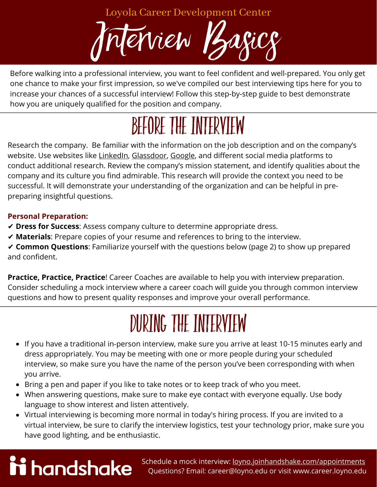Loyola Career Development Center

Interview Basics

Before walking into a professional interview, you want to feel confident and well-prepared. You only get one chance to make your first impression, so we've compiled our best interviewing tips here for you to increase your chances of a successful interview! Follow this step-by-step guide to best demonstrate how you are uniquely qualified for the position and company.

# Before the interview

Research the company. Be familiar with the information on the job description and on the company's website. Use websites like [LinkedIn](https://www.linkedin.com/), [Glassdoor,](https://www.glassdoor.com/) [Google](https://www.google.com/), and different social media platforms to conduct additional research. Review the company's mission statement, and identify qualities about the company and its culture you find admirable. This research will provide the context you need to be successful. It will demonstrate your understanding of the organization and can be helpful in prepreparing insightful questions.

### **Personal Preparation:**

- ✔ **Dress for Success**: Assess company culture to determine appropriate dress.
- ✔ **Materials**: Prepare copies of your resume and references to bring to the interview.

✔ **Common Questions**: Familiarize yourself with the questions below (page 2) to show up prepared and confident.

**Practice, Practice, Practice**! Career Coaches are available to help you with interview preparation. Consider scheduling a mock interview where a career coach will guide you through common interview questions and how to present quality responses and improve your overall performance.

# during the interview

- If you have a traditional in-person interview, make sure you arrive at least 10-15 minutes early and dress appropriately. You may be meeting with one or more people during your scheduled interview, so make sure you have the name of the person you've been corresponding with when you arrive.
- Bring a pen and paper if you like to take notes or to keep track of who you meet.
- When answering questions, make sure to make eye contact with everyone equally. Use body language to show interest and listen attentively.
- Virtual interviewing is becoming more normal in today's hiring process. If you are invited to a virtual interview, be sure to clarify the interview logistics, test your technology prior, make sure you have good lighting, and be enthusiastic.

# ii handshake

Schedule a mock interview: [loyno.joinhandshake.com/appointments](http://loyno.joinhandshake.com/appointments) Questions? Email: career@loyno.edu or visit www.career.loyno.edu